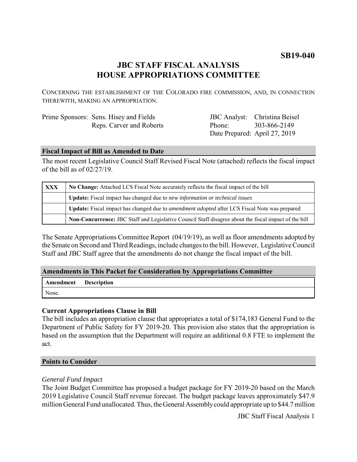# **SB19-040**

# **JBC STAFF FISCAL ANALYSIS HOUSE APPROPRIATIONS COMMITTEE**

CONCERNING THE ESTABLISHMENT OF THE COLORADO FIRE COMMISSION, AND, IN CONNECTION THEREWITH, MAKING AN APPROPRIATION.

| Prime Sponsors: Sens. Hisey and Fields |
|----------------------------------------|
| Reps. Carver and Roberts               |

JBC Analyst: Christina Beisel Phone: Date Prepared: April 27, 2019 303-866-2149

## **Fiscal Impact of Bill as Amended to Date**

The most recent Legislative Council Staff Revised Fiscal Note (attached) reflects the fiscal impact of the bill as of 02/27/19.

| <b>XXX</b> | No Change: Attached LCS Fiscal Note accurately reflects the fiscal impact of the bill                       |  |
|------------|-------------------------------------------------------------------------------------------------------------|--|
|            | Update: Fiscal impact has changed due to new information or technical issues                                |  |
|            | <b>Update:</b> Fiscal impact has changed due to <i>amendment adopted</i> after LCS Fiscal Note was prepared |  |
|            | Non-Concurrence: JBC Staff and Legislative Council Staff disagree about the fiscal impact of the bill       |  |

The Senate Appropriations Committee Report (04/19/19), as well as floor amendments adopted by the Senate on Second and Third Readings, include changes to the bill. However, Legislative Council Staff and JBC Staff agree that the amendments do not change the fiscal impact of the bill.

## **Amendments in This Packet for Consideration by Appropriations Committee**

| <b>Amendment</b> Description |  |
|------------------------------|--|
| None.                        |  |

## **Current Appropriations Clause in Bill**

The bill includes an appropriation clause that appropriates a total of \$174,183 General Fund to the Department of Public Safety for FY 2019-20. This provision also states that the appropriation is based on the assumption that the Department will require an additional 0.8 FTE to implement the act.

#### **Points to Consider**

#### *General Fund Impact*

The Joint Budget Committee has proposed a budget package for FY 2019-20 based on the March 2019 Legislative Council Staff revenue forecast. The budget package leaves approximately \$47.9 million General Fund unallocated. Thus, the General Assembly could appropriate up to \$44.7 million